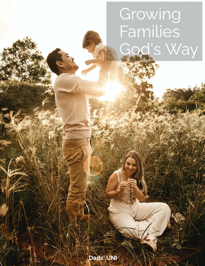# Growing Families od's Way

Dads' UNI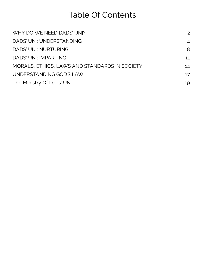# Table Of Contents

| WHY DO WE NEED DADS' UNI?                     | 2              |
|-----------------------------------------------|----------------|
| DADS' UNI: UNDERSTANDING                      | $\overline{4}$ |
| DADS' UNI: NURTURING                          | 8              |
| DADS' UNI: IMPARTING                          | 11             |
| MORALS, ETHICS, LAWS AND STANDARDS IN SOCIETY | 14             |
| UNDERSTANDING GOD'S LAW                       | 17             |
| The Ministry Of Dads' UNI                     | 19             |
|                                               |                |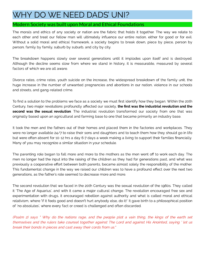# WHY DO WE NEED DADS' UNI?

#### Modern Society was built upon Moral and Ethical Foundations

The morals and ethics of any society or nation are the fabric that holds it together. The way we relate to<br>each other and treat our fellow man will ultimately influence our entire nation, either for good or for evil. Without a solid moral and ethical framework, a society begins to break down, piece by piece, person by without a solid moral and ethical framework, and ethical framework, a solid more work, piece by piece, person by person, family by family, suburb by suburb, and city by city.

The breakdown happens slowly over several generations until it implodes upon itself and is destroyed.<br>Although the decline seems slow from where we stand in history, it is measurable, measured by several factors of which we are all aware.

Divorce rates, crime rates, youth suicide on the increase, the widespread breakdown of the family unit, the huge increase increase increase increase increase increase in our national abortions in our nation, violence in our schools and streets, and gang-related crime.

To must a solution to the problems in the case as a society, included moderning how they began them in 20th so<br>Century, two maior revolutions profoundly affected our society, **the first was the industrial revolution and th** second was the sexual revolution. The industrial revolution to . The industrial revolution transformed our society from one that was not originally based upon an agricultural and farming base to one that became primarily an industry base.

It took the men and the fathers out of their homes and placed them in the factories and workplaces. They<br>were no longer available 24/7 to raise their sons and daughters and to teach them how they should go in life but were often absent for 10-12 hrs a day 6-7 days a week making a living to support their families financially. Many of you may recognize a similar situation in your schedule. Many of you may recognize a similar situation in your schedule.

The parenting role began to fall more and more to the mothers as the men went off to work each day. The men no<br>Then no longer had the input into the raising of the children as they had for generations past, and what was previously a cooperative effort between both parents, became almost solely the responsibility of the mother. This fundamental change in the way we raised our children was to have a profound effect over the next two generations, as the father's role seemed to decrease more and more. generations, as the father's role seemed to decrease more and more.

The second revolution that we faced in the 20th Century was the sexual revolution of the 1960s. They called the<br>it 'The Age of Aquarius', and with it came a major cultural change. The revolution encouraged free sex and relativism, where 'if it feels good and doesn't hurt anybody else, do it!' It gave birth to a philosophical position<br>of 'ne electivism' where even feet an areal is abellegeed and efter discorded. of 'no absolutes', where every fact or creed is challenged and often discarded.

(Psalm 2) says " Why do the nations rage, and the people plot a vain thing, the kings of the earth set themselves and the rulers take counsel together against The Lord and against His Anointed, saying ' let us break their bonds in pieces and cast away their cords from us."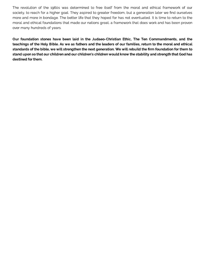The revolution of the 1960s was determined to free itself from the moral and ethical framework of our society, to reach for a higher goal. They aspired to greater freedom, but a generation later we find ourselves more and more in bondage. The better life that they hoped for has not eventuated. It is time to return to the moral and ethical foundations that made our nations great, a framework that does work and has been proven over many hundreds of years.

Our foundation stones have been laid in the Judaeo-Christian Ethic, The Ten Commandments, and the teachings of the Holy Bible. As we as fathers and the leaders of our families, return to the moral and ethical standards of the bible, we will strengthen the next generation. We will rebuild the firm foundation for them to stand upon so that our children and our children's children would know the stability and strength that God has destined for them.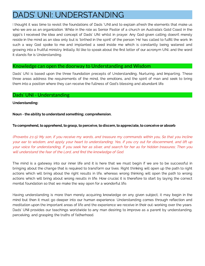# DADS' UNI: UNDERSTANDING

I thought it was time to revisit the foundations of Dads 'UNI and to explain afresh the elements that make us<br>who we are as an organization. While in the role as Senior Pastor of a church on Australia's Gold Coast in the 1990's I received the idea and concept of Dads' UNI whilst in prayer. Any God-given calling doesn't merely reside in the mind as an idea only but is 'birthed in the spirit' of the person 'He' has called to fulfill the work. In such a way God spoke to me and implanted a seed inside me which is constantly being watered and  $s$  such a way God spoke to me and interest  $\sim$  me and inside me which is constant  $\sim$  me and inside  $\sim$  me and inside  $\sim$  me which is constant  $\sim$  me and inside  $\sim$  me which is constant to me and in  $\sim$  me and in growing into a fruitful ministery. In the sequence of position about the rest letter of our acronym UNI, and the word it stands for is Understanding.

#### Knowledge can open the doorway to Understanding and Wisdom

Dads' UNI is based upon the three foundation precepts of Understanding, Nurturing, and Imparting. These<br>three areas address the requirements of the mind, the emotions, and the spirit of man and seek to bring them into a position where they can receive the fullness of God's blessing and abundant life. them into a position where they can receive the fullness of God's blessing and abundant life.

#### Dads' UNI - Understanding

Understanding:

Noun - the ability to understand something; comprehension.

#### To comprehend, to apprehend, to grasp, to perceive, to discern, to appreciate, to conceive or absorb

(Proverbs 2:1-5) My son, if you receive my words, and treasure my commands within you, So that you incline your ear to wisdom, and apply your heart to understanding; Yes, if you cry out for discernment, and lift up your voice for understanding, If you seek her as silver, and search for her as for hidden treasures; Then you will understand the fear of the Lord, and find the knowledge of God.

The mind is a gateway into our inner life and it is here that we must begin if we are to be successful in<br>bringing about the change that is reguired to transform our lives. Right thinking will open up the path to right actions which will bring about the right results in life, whereas wrong thinking will open the path to wrong actions which will bring about wrong results in life. How crucial it is therefore to start by laying the correct mental foundation so that we make the way open for a wonderful life. mental foundation so that we make the way open for a wonderful life.

Having understanding is more than merely acquiring knowledge on any given subject, it may begin in the<br>mind but then it must go deeper into our human experience. Understanding comes through reflection and meditation upon the important areas of life and the experience we receive in their out-working over the years. Dads' UNI provides our teachings worldwide to any man desiring to improve as a parent by understanding. perceiving, and grasping the truths of fatherhood. perceiving, and grasping the truths of fatherhood.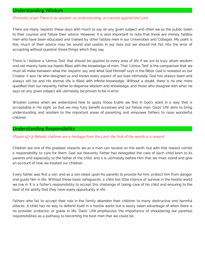#### Understanding Wisdom

#### (Proverbs 21:30) There is no wisdom. or understanding, or counsel against the Lord.

There are many 'experts' these days with much to say on any given subject and often we as the public listen<br>to their counsel and follow their advice. However, it is also important to note that these are merely fallible men who have been educated and trained by other fallible men in our Universities and Colleges. My point is this, much of their advice may be sound and usable in our lives but we should not fall into the error of accepting without question those things which they say. accepting without question those things which they say.

There is I believe a 'Litmus Test' that should be applied to every area of life if we are to truly attain wisdom<br>and not merely have our heads filled with the knowledge of men. That 'Litmus Test' is the comparison that we must all make between what the 'experts' say and what God Himself says in the Bible. God is revealed as our Creator, it was He who designed us and knows every aspect of our lives intimately. God has always been and always will be and His eternal life is filled with infinite knowledge. Without a doubt, there is no one more qualified than our heavenly Father to dispense wisdom and knowledge, and those who disagree with what He says on any given subject will ultimately be proven to be in error. says on any given subject will ultimately be proven to be in error.

Wisdom comes when we understand how to apply those truths we find in God's word in a way that is<br>acceptable in His sight, so that we may fully benefit ourselves and our fellow man. Dads' UNI aims to bring acceptable in His signification in His signification of  $\alpha$  and  $\alpha$  and  $\alpha$  are  $\alpha$  that we may fellow man. Dads  $\alpha$  is the signification man. Dads to be  $\alpha$  is the signification man. Dads in  $\alpha$  is the significal understanding and wisdom to the important areas of parenting and empower fathers to raise wonderful

#### Understanding Responsibility

#### (Psalm 127:3) Behold, children are a heritage from the Lord, the fruit of the womb is a reward.

Children are one of the greatest rewards we as a man can receive on this earth, but with that reward comes<br>a responsibility to care for them. God our heavenly Father has delegated the care of each child born to its parents and especially to the father of the child, and it is ultimately before Him that we must stand and give an account of how we treated our children.

Every father was first a son, and as a son relied upon his parents to provide for him, protect him from danger,<br>and quide him in life. Without these basic safequards, a child has little chance of survival in the hostile wo we live in. It is a father's responsibility to accept this challenge of taking care of his child and ensuring to the best of his ability that they have every opportunity in life. best of his ability that they have every opportunity in life.

Fathers who fail to accept their role in the family abandon their children to many destructive and harmful<br>attacks. A child has no way to defend itself in a hostile world but is easily taken advantage of when there is no provider, protector, or quide in life. Dads' UNI emphasizes the importance of shouldering our parental no provider, provider, provider, provider, or guide in life. Dads in life. Dads in life in life. Dads in life. Dads in life. Dads in life. Dads in life. Dads in life. Dads in life. Dads in life in life in life in life. Dad responsibilities as a pathway to becoming the best men that we could be.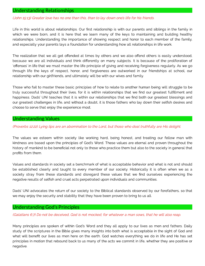#### Understanding Relationships

#### (John 15:13) Greater love has no one than this, than to lay down one's life for his friends.

Life in this world is about relationships. Our first relationship is with our parents and siblings in the family in which we were born, and it is here that we learn many of the keys to maintaining and building healthy relationships. Understanding the importance of showing respect and honor to each member of the family, and especially your parents lays a foundation for understanding how all relationships in life work.

The realization that we all get offended at times by others and we also offend others is easily understood, because we are all individuals and think differently on many subjects. It is because of the proliferation of 'offenses' in life that we must master the life principle of giving and receiving forgiveness regularly. As we go through life the keys of respect, honor, and forgiveness are outworked in our friendships at school, our relationship with our girlfriends, and ultimately will be with our wives and family.

Those who fail to master these basic principles of how to relate to another human being will struggle to be truly successful throughout their lives, for it is within relationships that we find our greatest fulfillment and happiness. Dads' UNI teaches that it is within our relationships that we find both our greatest blessings and our greatest challenges in life, and without a doubt, it is those fathers who lay down their selfish desires and choose to serve that enjoy the experience most.

#### Understanding Values

#### (Proverbs 12:22) Lying lips are an abomination to the Lord, but those who deal truthfully are His delight.

The values we esteem within society like working hard, being honest, and treating our fellow man with kindness are based upon the principles of God's Word. These values are eternal and proven throughout the history of mankind to be beneficial not only to those who practice them but also to the society in general that profits from them.

Values and standards in society set a benchmark of what is acceptable behavior and what is not and should be established clearly and taught to every member of our society. Historically it is often when we as a society stray from these standards and disregard these values that we find ourselves experiencing the negative results of selfish and cruel acts perpetrated upon individuals and communities.

Dads' UNI advocates the return of our society to the Biblical standards observed by our forefathers, so that we may enjoy the security and stability that they have been proven to bring to us all.

#### Understanding God's Principles

#### (Galatians 6:7) Do not be deceived, God is not mocked; for whatever a man sows, that he will also reap.

Many principles are spoken of within God's Word and they all apply to our lives as men and fathers. Daily study of the scriptures in the Bible gives many insights into both what is acceptable in the sight of God and what will benefit our lives as men here on the earth. God watches everything we do in life and He has set principles in motion that rebound back to us many of the acts we commit in life, whether they are positive or negative.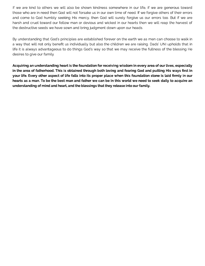If we are kind to others we will also be shown kindness somewhere in our life, if we are generous toward those who are in need then God will not forsake us in our own time of need. If we forgive others of their errors and come to God humbly seeking His mercy, then God will surely forgive us our errors too. But if we are harsh and cruel toward our fellow man or devious and wicked in our hearts then we will reap the harvest of the destructive seeds we have sown and bring judgment down upon our heads.

By understanding that God's principles are established forever on the earth we as men can choose to walk in a way that will not only benefit us individually but also the children we are raising. Dads' UNI upholds that in life it is always advantageous to do things God's way so that we may receive the fullness of the blessing He desires to give our family.

Acquiring an understanding heart is the foundation for receiving wisdom in every area of our lives, especially<br>In the area of fatherhood. This is obtained through both loving and fearing God and putting His ways first in your life. Every other aspect of life falls into its proper place when this foundation stone is laid firmly in our hearts as a man. To be the best man and father we can be in this world we need to seek daily to acquire an understanding of mind and heart, and the blessings that they release into our family. understanding of mind and heart, and the blessings that they release into our family.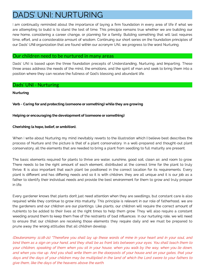# <span id="page-8-0"></span>DADS' UNI: NURTURING

I am continually reminded about the importance of laying a firm foundation in every area of life if what we<br>are attempting to build is to stand the test of time. This principle remains true whether we are building our new home, considering a career change, or planning for a family. Building something that will last requires time, effort, and a considerable amount of wisdom. Continuing our short series on the foundation principles of our Dads' UNI organization that are found within our acronym UNI, we progress to the word Nurturing. our Dads' UNI organization that are found within our acronym UNI, we progress to the word Nurturing.

#### Our children need to be nurtured in many areas

Dads' UNI is based upon the three foundation precepts of Understanding, Nurturing, and Imparting. These three areas address the needs of the mind, the emotions, and the spirit of man and seek to bring them into a three areas areas address three areas and the mind, the mind, the spirit of mind, the spirit of man and seek to position where they can receive the fullness of God's blessing and abundant life.

#### Dads' UNI - Nurturing

#### Nurturing

Verb - Caring for and protecting (someone or something) while they are growing

#### Helping or encouraging the development of (someone or something)

#### Cherishing (a hope, belief, or ambition).

When I write about Nurturing my mind inevitably reverts to the illustration which I believe best describes the<br>process of Nurture and the picture is that of a plant conservatory. In a well-prepared and thought-out plant process of Nurture and the picture is that of a plant conservation is that of a plant conservation is the plant<br>Process of a well-prepared and the picture is the picture is that fines a position to full-pretainly are proce conservatory, all the elements that are needed to bring a plant from seedling to full maturity are present.

The basic elements required for plants to thrive are water, sunshine, good soil, clean air, and room to grow.<br>There needs to be the right amount of each element, distributed at the correct time for the plant to truly thrive. It is also important that each plant be positioned in the correct location for its requirements. Every plant is different and has differing needs and so it is with children, they are all unique and it is our job as a father to identify their individual needs and provide the best environment for them to grow and truly prosper father to identify their individual needs and provide the best environment for them to grow and truly prosper

Every gardener knows that plants don't just need attention when they are seedlings, but constant care is also<br>required while they continue to grow into maturity. This principle is relevant in our role of fatherhood, we are the gardeners and our children are our plantings. Like plants, our children will require the correct amount of nutrients to be added to their lives at the right times to help them grow. They will also require a constant weeding around them to keep them free of the restraints of bad influences. In our nurturing role, we will need to ensure that our children are receiving those elements they require daily and we must be prepared to to ensure that our children are receiving the receiving those elements they require daily and we must be prepared to prune away the wrong attitudes that all children develop.

(Deuteronomy 11:18-21) "Therefore you shall lay up these words of mine in your heart and in your soul, and bind them as a sign on your hand, and they shall be as front lets between your eyes. You shall teach them to your children, speaking of them when you sit in your house, when you walk by the way, when you lie down, and when you rise up. And you shall write them on the doorposts of your house and on your gates, that your days and the days of your children may be multiplied in the land of which the Lord swore to your fathers to give them, like the days of the heavens above the earth.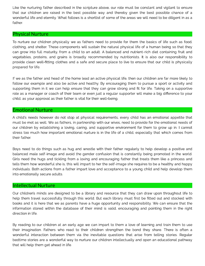Like the nurturing father described in the scripture above, our role must be constant and vigilant to ensure<br>that our children are raised in the best possible way and thereby given the best possible chance of a wonderful life and eternity. What follows is a shortlist of some of the areas we will need to be diligent in as a wonderful life and eternity. What follows is a shortlist of some of the areas we will need to be diligent in as a<br>Ethnol

#### Physical Nurture

To nurture our children physically we as fathers need to provide for them the basics of life such as food,<br>clothing, and shelter. These components will sustain the natural physical life of a human being so that they can grow into full maturity, from a child to an adult. A balanced and nutrient-rich diet containing fruit and vegetables, proteins, and grains is broadly recommended by nutritionists. It is also our responsibility to provide clean well-fitting clothes and a safe and secure place to live to ensure that our child is physically provide clean well-tting clothes and a safe and secure place to live to ensure that our child is physically prepared for life.

If we as the father and head of the home lead an active physical life, then our children are far more likely to<br>follow our example and also be active and healthy. By encouraging them to pursue a sport or activity and supporting them in it we can help ensure that they can grow strong and fit for life. Taking on a supportive role as a manager or coach of their team or even just a regular supporter will make a big difference to your child, as your approval as their father is vital for their well-being. child, as your approval as their father is vital for their well-being.

#### Emotional Nurture

A child's needs however do not stop at physical requirements, every child has an emotional appetite that<br>must be met as well. We as fathers, in partnership with our wives, need to provide for the emotional needs of our children by establishing a loving, caring, and supportive environment for them to grow up in. I cannot stress too much how important emotional nurture is in the life of a child, especially that which comes from stress to much how important emotional nurture is in the life of a child, especially that which comes from tha<br>How follow

Boys need to do things such as hug and wrestle with their father regularly to help develop a positive and<br>balanced male self-image and avoid the gender confusion that is constantly being promoted in the world. Girls need the hugs and tickling from a loving and encouraging father that treats them like a princess and tells them how wonderful she is, this will impart to her the self-image she requires to be a healthy and happy individuals. Both actions from a father impart love and acceptance to a young child and help develop them into emotionally secure adults. into emotionally secure adults.

#### Intellectual Nurture

Our children's minds are designed to be a library and resource that they can draw upon throughout life to<br>help them travel successfully through this world. But each library must first be fitted out and stocked with books and it is here that we as parents have a huge opportunity and responsibility. We can ensure that the books and it is here that we as parents have a huge opportunity and responsibility. We can ensure the specific information stored within the database of their mind is valid, encouraging and pointing them in the right

By reading to our children at an early age we can impart to them a love of learning and train them to use<br>their imagination. Fathers who read to their children strengthen the bond they share. There is often a wonderful interaction between them via the inevitable questions that arise from telling stories. Reqular wonderful interaction between them via them via them via them via them via them via them via them via them via<br>In odine a stories are a wresolarful wroute a murium sourcelillors intellectually such areas as advertised a di bedomine stories are a wonderful way to nurture our children intellectually and open an educational pathway, that will help them get ahead in life.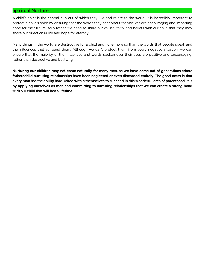#### Spiritual Nurture

A child's spirit is the central hub out of which they live and relate to the world. It is incredibly important to protect a child's spirit by ensuring that the words they hear about themselves are encouraging and imparting hope for their future. As a father, we need to share our values, faith, and beliefs with our child that they may share our direction in life and hope for eternity.

Many things in the world are destructive for a child and none more so than the words that people speak and the influences that surround them. Although we can't protect them from every negative situation, we can ensure that the majority of the influences and words spoken over their lives are positive and encouraging, rather than destructive and belittling.

Nurturing our children may not come naturally for many men, as we have come out of generations where father/child nurturing relationships have been neglected or even discarded entirely. The good news is that every man has the ability hard-wired within themselves to succeed in this wonderful area of parenthood. It is by applying ourselves as men and committing to nurturing relationships that we can create a strong bond with our child that will last a lifetime.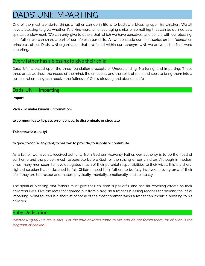# <span id="page-11-0"></span>DADS' UNI: IMPARTING

One of the most wonderful things a father can do in life is to bestow a blessing upon his children. We all have a blessing to give, whether it's a kind word, an encouraging smile, or something that can be defined as a spiritual endowment. We can only give to others that which we have ourselves, and so it is with our blessing, as a father we can share a part of our life with our child. As we conclude our short series on the foundation principles of our Dads' UNI organization that are found within our acronym UNI, we arrive at the final word Imparting.

#### Every father has a blessing to give their child

Dads' UNI is based upon the three foundation precepts of Understanding, Nurturing, and Imparting. These three areas address the needs of the mind, the emotions, and the spirit of man and seek to bring them into a position where they can receive the fullness of God's blessing and abundant life.

#### Dads' UNI – Imparting

#### Impart

Verb - To make known. (information)

 $t_{\rm t}$  to communicate, to pass on or convey, to disseminate or circulate

## $T_{\rm t}$  a core  $\alpha$  are quality).

## to give, to confer, to grant, to bestow, to provide, to supply or contribute.

As a father, we have all received authority from God our Heavenly Father. Our authority is to be the head of our home and the person most responsible before God for the raising of our children. Although in modern times many men seem to have delegated much of their parental responsibilities to their wives, this is a shortsighted solution that is destined to fail. Children need their fathers to be fully involved in every area of their life if they are to prosper and mature physically, mentally, emotionally, and spiritually.

The spiritual blessing that fathers must give their children is powerful and has far-reaching effects on their children's lives. Like the roots that spread out from a tree, so a father's blessing reaches far beyond the initial imparting. What follows is a shortlist of some of the most common ways a father can impart a blessing to his children.

#### Baby Dedication

(Matthew 19:14) But Jesus said, "Let the little children come to Me, and do not forbid them; for of such is the kingdom of heaven."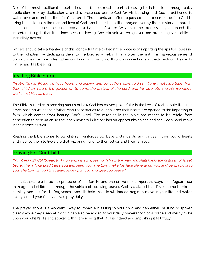One of the most traditional opportunities that fathers must impart a blessing to their child is through baby<br>dedication. In baby dedication, a child is presented before God for His blessing and God is petitioned to watch over and protect the life of the child. The parents are often requested also to commit before God to bring the child up in the fear and love of God, and the child is either prayed over by the minister and parents or in some churches the child receives a baptism of water. Whatever the process in your church the important thing is that it is done because having God Himself watching over and protecting your child is important thing is that it is done because having God Himself watching over and protecting your child is incredibly powerful.

Fathers should take advantage of this wonderful time to begin the process of imparting the spiritual blessing<br>to their children by dedicating them to the Lord as a baby. This is often the first in a marvelous series of to the third render to the them to the Lord as a baby. This is often the render the render the radio of the render opportunities we must strengthen our bond with our child through connecting spiritually with our Heavenly<br>Father and Healeness Father and His blessing.

#### Reading Bible Stories

(Psalm 78:3-4) Which we have heard and known, and our fathers have told us. We will not hide them from their children, telling the generation to come the praises of the Lord, and His strength and His wonderful works that He has done.

The Bible is filled with amazing stories of how God has moved powerfully in the lives of real people like us in<br>times past. As we as their father read these stories to our children their hearts are opened to the imparting faith, which comes from hearing God's word. The miracles in the bible are meant to be retold from faith, which comes from hearing  $\sim$  hearing God's word. The miracles in the miracles in the miracles in the miracles in the miracles in the miracles in the miracles in the miracles in the miracles in the miracles in the generation to generation so that each new era in history has an opportunity to rise and see God's hand move g<br>in history history council

Reading the Bible stories to our children reinforces our beliefs, standards, and values in their young hearts<br>and inspires them to live a life that will bring honor to themselves and their families. and inspires them to live a life that will bring honor to themselves and their families.

#### Praying For Our Child

(Numbers 6:23-26) "Speak to Aaron and his sons, saying, 'This is the way you shall bless the children of Israel. Say to them: "The Lord bless you and keep you, The Lord make His face shine upon you, and be gracious to you; The Lord lift up His countenance upon you and give you peace."'

It is a father's role to be the protector of the family, and one of the most important ways to safeguard our<br>marriage and children is through the vehicle of believing prayer. God has stated that if you come to Him in humility and ask for His forgiveness and His help that He will indeed begin to move in your life and watch over you and your family as you pray daily. over you and your family as you pray daily.

The prayer above is a wonderful way to impart a blessing to your child and can either be sung or spoken<br>quietly while they sleep at night. It can also be added to your daily prayers for God's grace and mercy to be upon your child's life and spoken with thanksgiving that God is indeed accomplishing it faithfully. upon your child's life and spoken with thanksgiving that God is indeed accomplishing it faithfully.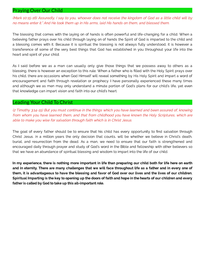#### Praying Over Our Child

(Mark 10:15-16) Assuredly, I say to you, whoever does not receive the kingdom of God as a little child will by no means enter it." And He took them up in His arms, laid His hands on them, and blessed them.

The blessing that comes with the laying on of hands is often powerful and life-changing for a child. When a believing father prays over his child through laying on of hands the Spirit of God is imparted to the child and a blessing comes with it. Because it is spiritual the blessing is not always fully understood, it is however a transference of some of the very best things that God has established in you throughout your life into the heart and spirit of your child.

As I said before we as a man can usually only give those things that we possess away to others as a blessing, there is however an exception to this rule. When a father who is lled with the Holy Spirit prays over his child, there are occasions when God Himself will reveal something by His Holy Spirit and impart a word of encouragement and faith through revelation or prophecy. I have personally experienced these many times and although we as men may only understand a minute portion of God's plans for our child's life, yet even that knowledge can impart vision and faith into our child's heart.

#### Leading Your Child To Christ

(2 Timothy 3:14-15) But you must continue in the things which you have learned and been assured of, knowing from whom you have learned them, and that from childhood you have known the Holy Scriptures, which are able to make you wise for salvation through faith which is in Christ Jesus.

The goal of every father should be to ensure that his child has every opportunity to find salvation through Christ Jesus. In a million years the only decision that counts, will be whether we believe in Christ's death, burial, and resurrection from the dead. As a man, we need to ensure that our faith is strengthened and encouraged daily through prayer and study of God's word in the Bible and fellowship with other believers so that we have an abundance of spiritual blessing and wisdom to impart into the life of our child.

In my experience, there is nothing more important in life than preparing our child both for life here on earth and in eternity. There are many challenges that we will face throughout life as a father and in every one of them, it is advantageous to have the blessing and favor of God over our lives and the lives of our children. Spiritual Imparting is the key to opening up the doors of faith and hope in the hearts of our children and every father is called by God to take up this all-important role.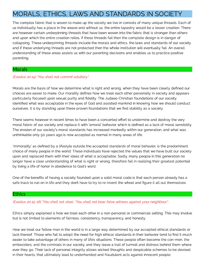# <span id="page-14-0"></span>MORALS, ETHICS, LAWS AND STANDARDS IN SOCIETY

The complex fabric that is woven to make up the society we live in consists of many unique threads. Each of<br>us individually has a place in the weave and without us, the entire tapestry would be a lesser creation. There are however certain underpinning threads that have been woven into the fabric that is stronger than others and upon which the entire creation relies, if these threads fail then the complete design is in danger of collapsing. These underpinning threads include the morals and ethics, the laws and standards of our society and if these underlying threads are not protected then the whole institution will eventually fail. An overall and if these underlying threads are not protected threads are not protected threads are not protected then the<br>Institution of these successive under while surrounding designed and contract to protice institution understanding of these areas assists us with our parenting decisions and enables us to practice positive parenting.

#### **Morals**

#### (Exodus 20:14) "You shall not commit adultery".

Morals are the basis of how we determine what is right and wrong, when they have been clearly defined our<br>choices are easier to make. Our morality defines how we treat each other personally in society and appears particularly focused upon sexual purity and fidelity. The Judaeo-Christian foundations of our society identified what was acceptable in the eyes of God and assisted mankind in knowing how we should conduct identified what was acceptable in the eyes of God and assisted manufacture in the eyes of God and assisted man<br>In the eyes of God and assisted many process for and assisted many field and assisted in the expectation of the ourselves. It is by standing upon these proven foundations that we nd stability as a society.

There seems however in recent times to have been a concerted effort to undermine and destroy the very<br>moral fabric of our society and replace it with 'amoral' behavior which is defined as a lack of moral sensibility. moral fabric of our society's moral standards has increased markedly within our generation, and what was<br>unthinkable anti- 50 years are in now apparted as normal in moral and a stiffe. unthinkable only 50 years ago is now accepted as normal in many areas of life.

'Immorality' as defined by a lifestyle outside the accepted standards of moral behavior, is the predominant<br>choice of many people in the world. These individuals have rejected the values that we have built our society upon and replaced them with their ideas of what is acceptable. Sadly, many people in this generation no longer have a clear understanding of what is right or wrong, therefore fail in realizing their greatest potential longer have a clear understanding of what is right or wrong, therefore fail in realizing their greatest potential by living a life of honor in obedience to God's word.

 $\overline{\phantom{a}}$  of the benefits of having a society founded upon a solid more code is that each person already has a solid more code is the benefits of  $\overline{\phantom{a}}$ safe track to run on in life and they don't have to try to re-invent the wheel and gure it all out themselves.

#### **Ethics**

(Exodus 20:15-16) "You shall not steal. "You shall not bear false witness against your neighbour".

Ethics simply explained is how we treat each other in a non-personal or commercial setting. This may involve but is not limited to elements of fairness, consistency, transparency, and honesty.

How we treat our fellow man in the world is in a large way determined by our accepted ethical standards or<br>lack thereof. Those who fail to adopt the need for high ethical standards in their behavior tend to find it much easier to take advantage of others in many of life's situations. These people often become the con-men, the embezzlers, and the criminals in our society, and they leave a trail of turmoil and distress behind them where ever they go. Their lack of personal integrity allows wicked thoughts and despicable schemes to be devised ever they goes the wicked they go allow the second integrity allows with the second they are designed they are<br>In the civiled and a third with the second the weak schemes to be devised and devised integrated integrated to in their hearts, that ultimately lead to underhanded and fraudulent acts against innocent people.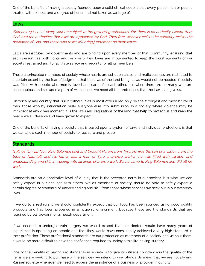$\sim$  one of the benefits of having a society founded upon a solid ethical code is that every person rich or poor is treated with respect and a degree of honor and not taken advantage of.

#### Laws

(Romans 13:1-2) Let every soul be subject to the governing authorities. For there is no authority except from God, and the authorities that exist are appointed by God. Therefore, whoever resists the authority resists the ordinance of God, and those who resist will bring judgement on themselves.

Laws are instituted by governments and are binding upon every member of that community, ensuring that<br>each person has both rights and responsibilities. Laws are implemented to keep the worst elements of our each person has both rights and responsibilities. Laws are implemented to keep the worst elements of our implements of  $\epsilon$ society restrained and to facilitate safety and security for all its members.

Those unprincipled members of society whose hearts are set upon chaos and maliciousness are restricted to<br>a certain extent by the fear of judgment that the laws of the land bring. Laws would not be needed if society was filled with people who merely loved and cared for each other, but when there are so many who are was lied with people with people with people with people with people with people with people with  $\alpha$  many  $\alpha$  many  $\alpha$  many  $\alpha$  many  $\alpha$  many  $\alpha$  many  $\alpha$  many  $\alpha$  many  $\alpha$  many  $\alpha$  many  $\alpha$  many  $\alpha$  many  $\alpha$ unscrupulous and set upon a path of wickedness we need all the protections that the laws can give us.

Historically any country that is run without laws is most often ruled only by the strongest and most brutal of<br>men, those who by intimidation bully everyone else into submission. In a society where violence may be imminent at any given moment, it is the laws and regulations of the land that help to protect us and keep the imminent at any given moment, it is the laws and regulations of the land that help to protect us and keep the peace we all deserve and have grown to expect.

 $\overline{\phantom{a}}$  one of having a society that is based upon a system of  $\overline{\phantom{a}}$  and individual protections is that we can allow each member of society to feel safe and prosper.

#### Standards

(1 Kings 7:13-14) Now King Solomon sent and brought Huram from Tyre. He was the son of a widow from the tribe of Naphtali, and his father was a man of Tyre, a bronze worker; he was filled with wisdom and understanding and skill in working with all kinds of bronze work. So, he came to King Solomon and did all his work.

Standards are an authoritative level of quality that is the accepted norm in our society, it is what we can<br>safely expect in our dealings with others. We as members of society should be able to safely expect a safely expect in our dealings with our dealings with our deal  $\alpha$  as  $\alpha$  as  $\alpha$  able to safely expect able to safely expected as  $\alpha$  and  $\alpha$  able to safely expected able to safely expected as  $\alpha$  able to safely expe certain degree or standard of understanding and skill from those whose services we seek out in our every any

If we go to a restaurant we should confidently expect that our food has been sourced using good quality<br>products and has been prepared in a hygienic environment, because these are the standards that are products and has been prepared in a hygienic environment, because these are the standards that are required by our government's health department.

If we needed to undergo brain surgery we would expect that our doctors would have many years of<br>experience in operating on people and that they would have consistently achieved a very high standard in their profession. These professional standards are our protection as members of a society and without them, their profession. The second standards are our professional standards are our professional standards are our professional standards are our professional standards and without them, and without them, and without them, and w it would be more dicult to have the condence required to undergo this life-saving surgery.

One of the benefits of having set standards in society is to give its citizens confidence in the quality of the<br>items we are seeking to purchase or the services we intend to use. Standards mean that we are not playing items we are seeking to purchase or the services we are seeking to purchase or the services we are not playing Russian roulette whenever we need to access the assistance of a business or provider in our city.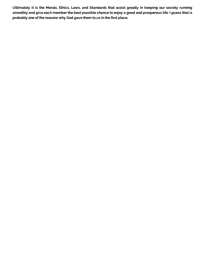Ultimately it is the Morals, Ethics, Laws, and Standards that assist greatly in keeping our society running smoothly and give each member the best possible chance to enjoy a good and prosperous life. I guess that is probably one of the reasons why God gave them to us in the first place.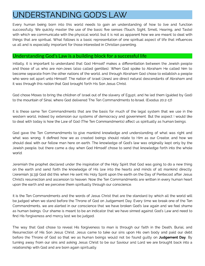# <span id="page-17-0"></span>UNDERSTANDING GOD'S LAW

Every human being born into this world needs to gain an understanding of how to live and function<br>successfully. We quickly master the use of the basic five senses (Touch, Sight, Smell, Hearing, and Taste) with which we communicate with the physical world, but it is not as apparent how we are meant to deal with things that are spiritual. What follows is a basic representation of one spiritual aspect of life that influences us all and is especially important for those interested in Christian parenting. us all and is especially important for those interested in Christian parenting.

#### Understanding God's Law is a building block for a successful life

Initially, it is important to understand that God Himself makes a differentiation between the Jewish people<br>and those of us who are non-Jews (also called gentiles). When God spoke to Abraham He called him to become separate from the other nations of the world, and through Abraham God chose to establish a people who were set apart unto Himself. The nation of Israel (Jews) are direct natural descendants of Abraham and it was through this nation that God brought forth His Son Jesus Christ. it was through this nation that God brought forth His Son Jesus Christ.

God chose Moses to bring the children of Israel out of the slavery of Egypt, and he led them (guided by God)<br>to the mountain of Sinai, where God delivered The Ten Commandments to Israel. (Exodus 20:2-17) to the mountain of Sinai, where God delivered The Ten Commandments to Israel. (Exodus 20:2-17)

It is these same Ten Commandments that are the basis for much of the legal system that we use in the<br>western world, indeed by extension our systems of democracy and government. But the aspect I would like to deal with today is how the Law of God (The Ten Commandments) affect us spiritually as human beings. to deal with today is how the Law of God (The Ten Commandments) aect us spiritually as human beings.

God gave the Ten Commandments to give mankind knowledge and understanding of what was right and<br>what was wrong. It defined how we as created beings should relate to Him as our Creator, and how we should deal with our fellow man here on earth. The knowledge of God's law was originally kept only by the should deal with our fellow man here on earth. The knowledge of God's law was originally kept only by the knowledge of God's law was originally kept of God's law was originally kept only by the company of God's law was ori Jewish people, but there came a day when God Himself chose to send that knowledge forth into the whole

Jeremiah the prophet declared under the inspiration of the Holy Spirit that God was going to do a new thing<br>on the earth and send forth the knowledge of His law into the hearts and minds of all mankind directly. (Jeremiah 31:33) God did this when He sent His Holy Spirit upon the earth on the Day of Pentecost after Jesus Christ's resurrection and ascension to heaven. Now the Ten Commandments are written in every human heart christ's results and written and ascension to heaven. Now the Ten Commandments are written in every human heart upon the earth and we perceive them spiritually through our conscience.

It is the Ten Commandments and the words of Jesus Christ that are the standard by which all the world will<br>be judged when we stand before the Throne of God on Judgement Day. Every time we break one of the Ten Commandments, we are alerted in our conscience that we have broken God's law again and we feel shame as human beings. Our shame is meant to be an indicator that we have sinned against God's Law and need to as human beings. Our shame is meant to be an indicator that we have since a gainst God's Law and need to nd his forgiveness and mercy lest we be judged.

The way that God chose to reveal His forgiveness to man is through our faith in the Death, Burial, and<br>Resurrection of His Son Jesus Christ. Jesus came to take our sins upon His own body and paid our debt Resurrection of the Son South Christ. South Christ. Jesus came our since our debth and paid our debt.<br>Defore the Throne of God so that we as human beings would not be found quilty on **Judgement Day**. By turning away from our sins and asking Jesus Christ to be our Saviour and Lord we are brought back into a turning away from our sins and asking Jesus Christ to be our Saviour and Lord we are brought back into a<br>International with Cool one and are been oppin opinitually. relationship with God and are born again spiritually.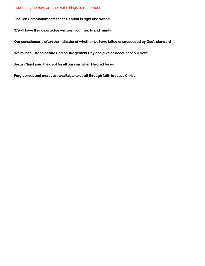In summing up here are the main things to remember:

· The Ten Commandments teach us what is right and wrong

- · We all have this knowledge written in our hearts and minds
- · Our conscience is often the indicator of whether we have failed or succeeded by God's standard
- · We must all stand before God on Judgement Day and give an account of our lives
- · Jesus Christ paid the debt for all our sins when He died for us
- · Forgiveness and mercy are available to us all through faith in Jesus Christ